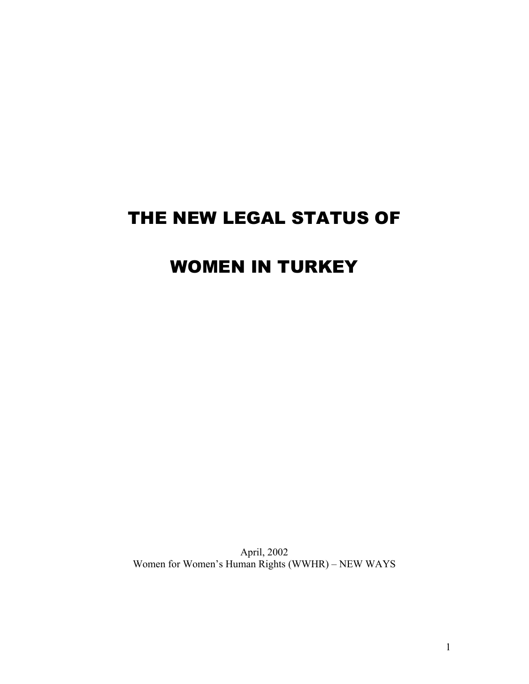# THE NEW LEGAL STATUS OF

# WOMEN IN TURKEY

April, 2002 Women for Women's Human Rights (WWHR) – NEW WAYS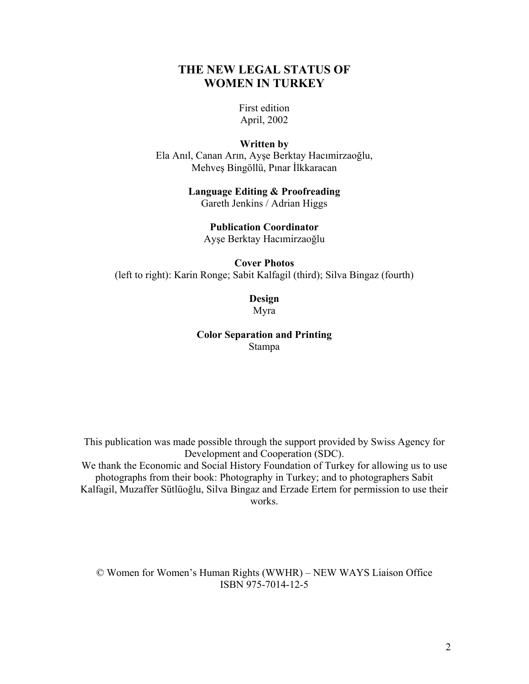# **THE NEW LEGAL STATUS OF WOMEN IN TURKEY**

First edition April, 2002

#### **Written by**

Ela Anıl, Canan Arın, Ayşe Berktay Hacımirzaoğlu, Mehveş Bingöllü, Pınar İlkkaracan

#### **Language Editing & Proofreading**  Gareth Jenkins / Adrian Higgs

# **Publication Coordinator**

Ayşe Berktay Hacımirzaoğlu

#### **Cover Photos**

(left to right): Karin Ronge; Sabit Kalfagil (third); Silva Bingaz (fourth)

## **Design**  Myra

#### **Color Separation and Printing**  Stampa

This publication was made possible through the support provided by Swiss Agency for Development and Cooperation (SDC). We thank the Economic and Social History Foundation of Turkey for allowing us to use photographs from their book: Photography in Turkey; and to photographers Sabit Kalfagil, Muzaffer Sütlüoğlu, Silva Bingaz and Erzade Ertem for permission to use their works.

© Women for Women's Human Rights (WWHR) – NEW WAYS Liaison Office ISBN 975-7014-12-5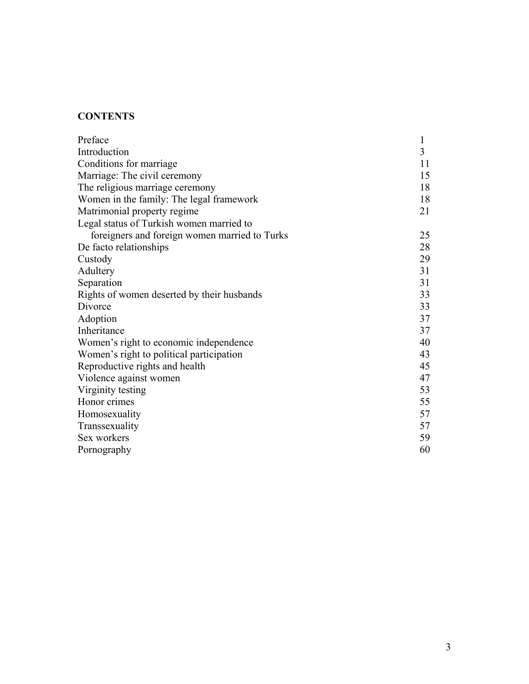# **CONTENTS**

| Preface                                       | $\mathbf{1}$ |
|-----------------------------------------------|--------------|
| Introduction                                  | 3            |
| Conditions for marriage                       | 11           |
| Marriage: The civil ceremony                  | 15           |
| The religious marriage ceremony               | 18           |
| Women in the family: The legal framework      | 18           |
| Matrimonial property regime                   | 21           |
| Legal status of Turkish women married to      |              |
| foreigners and foreign women married to Turks | 25           |
| De facto relationships                        | 28           |
| Custody                                       | 29           |
| Adultery                                      | 31           |
| Separation                                    | 31           |
| Rights of women deserted by their husbands    | 33           |
| Divorce                                       | 33           |
| Adoption                                      | 37           |
| Inheritance                                   | 37           |
| Women's right to economic independence        | 40           |
| Women's right to political participation      | 43           |
| Reproductive rights and health                | 45           |
| Violence against women                        | 47           |
| Virginity testing                             | 53           |
| Honor crimes                                  | 55           |
| Homosexuality                                 | 57           |
| Transsexuality                                | 57           |
| Sex workers                                   | 59           |
| Pornography                                   | 60           |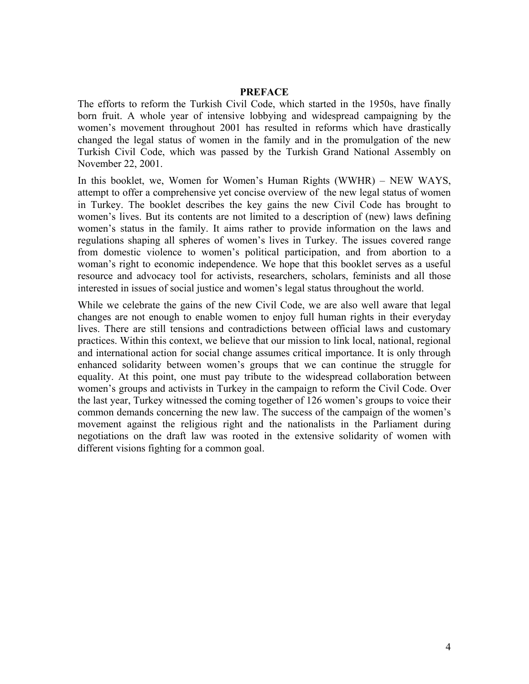#### **PREFACE**

The efforts to reform the Turkish Civil Code, which started in the 1950s, have finally born fruit. A whole year of intensive lobbying and widespread campaigning by the women's movement throughout 2001 has resulted in reforms which have drastically changed the legal status of women in the family and in the promulgation of the new Turkish Civil Code, which was passed by the Turkish Grand National Assembly on November 22, 2001.

In this booklet, we, Women for Women's Human Rights (WWHR) – NEW WAYS, attempt to offer a comprehensive yet concise overview of the new legal status of women in Turkey. The booklet describes the key gains the new Civil Code has brought to women's lives. But its contents are not limited to a description of (new) laws defining women's status in the family. It aims rather to provide information on the laws and regulations shaping all spheres of women's lives in Turkey. The issues covered range from domestic violence to women's political participation, and from abortion to a woman's right to economic independence. We hope that this booklet serves as a useful resource and advocacy tool for activists, researchers, scholars, feminists and all those interested in issues of social justice and women's legal status throughout the world.

While we celebrate the gains of the new Civil Code, we are also well aware that legal changes are not enough to enable women to enjoy full human rights in their everyday lives. There are still tensions and contradictions between official laws and customary practices. Within this context, we believe that our mission to link local, national, regional and international action for social change assumes critical importance. It is only through enhanced solidarity between women's groups that we can continue the struggle for equality. At this point, one must pay tribute to the widespread collaboration between women's groups and activists in Turkey in the campaign to reform the Civil Code. Over the last year, Turkey witnessed the coming together of 126 women's groups to voice their common demands concerning the new law. The success of the campaign of the women's movement against the religious right and the nationalists in the Parliament during negotiations on the draft law was rooted in the extensive solidarity of women with different visions fighting for a common goal.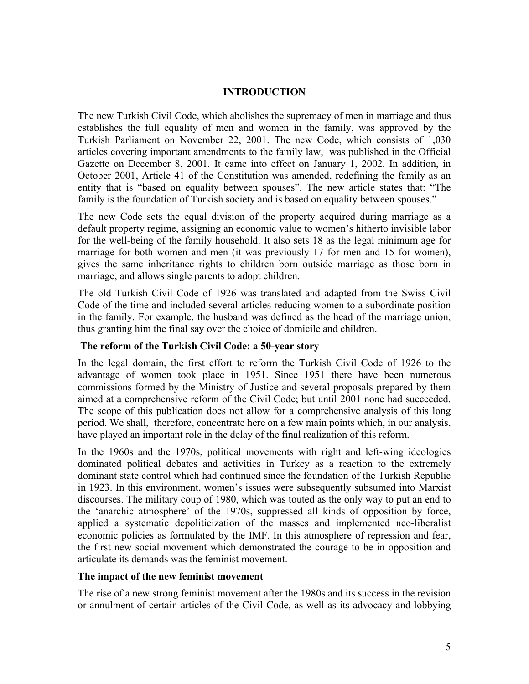#### **INTRODUCTION**

The new Turkish Civil Code, which abolishes the supremacy of men in marriage and thus establishes the full equality of men and women in the family, was approved by the Turkish Parliament on November 22, 2001. The new Code, which consists of 1,030 articles covering important amendments to the family law, was published in the Official Gazette on December 8, 2001. It came into effect on January 1, 2002. In addition, in October 2001, Article 41 of the Constitution was amended, redefining the family as an entity that is "based on equality between spouses". The new article states that: "The family is the foundation of Turkish society and is based on equality between spouses."

The new Code sets the equal division of the property acquired during marriage as a default property regime, assigning an economic value to women's hitherto invisible labor for the well-being of the family household. It also sets 18 as the legal minimum age for marriage for both women and men (it was previously 17 for men and 15 for women), gives the same inheritance rights to children born outside marriage as those born in marriage, and allows single parents to adopt children.

The old Turkish Civil Code of 1926 was translated and adapted from the Swiss Civil Code of the time and included several articles reducing women to a subordinate position in the family. For example, the husband was defined as the head of the marriage union, thus granting him the final say over the choice of domicile and children.

## **The reform of the Turkish Civil Code: a 50-year story**

In the legal domain, the first effort to reform the Turkish Civil Code of 1926 to the advantage of women took place in 1951. Since 1951 there have been numerous commissions formed by the Ministry of Justice and several proposals prepared by them aimed at a comprehensive reform of the Civil Code; but until 2001 none had succeeded. The scope of this publication does not allow for a comprehensive analysis of this long period. We shall, therefore, concentrate here on a few main points which, in our analysis, have played an important role in the delay of the final realization of this reform.

In the 1960s and the 1970s, political movements with right and left-wing ideologies dominated political debates and activities in Turkey as a reaction to the extremely dominant state control which had continued since the foundation of the Turkish Republic in 1923. In this environment, women's issues were subsequently subsumed into Marxist discourses. The military coup of 1980, which was touted as the only way to put an end to the 'anarchic atmosphere' of the 1970s, suppressed all kinds of opposition by force, applied a systematic depoliticization of the masses and implemented neo-liberalist economic policies as formulated by the IMF. In this atmosphere of repression and fear, the first new social movement which demonstrated the courage to be in opposition and articulate its demands was the feminist movement.

#### **The impact of the new feminist movement**

The rise of a new strong feminist movement after the 1980s and its success in the revision or annulment of certain articles of the Civil Code, as well as its advocacy and lobbying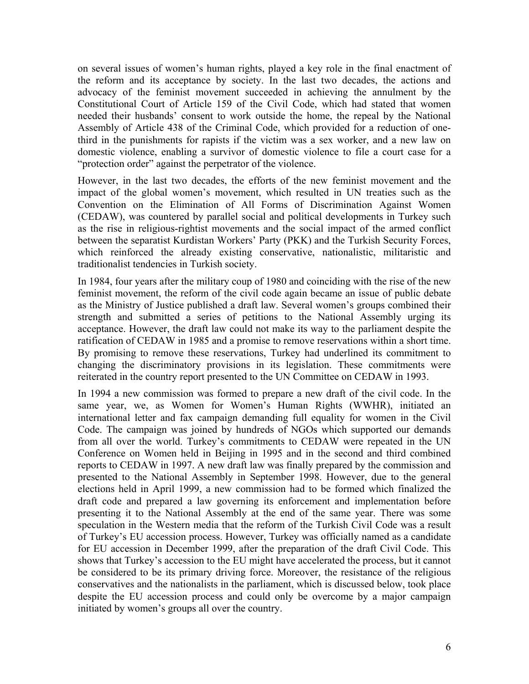on several issues of women's human rights, played a key role in the final enactment of the reform and its acceptance by society. In the last two decades, the actions and advocacy of the feminist movement succeeded in achieving the annulment by the Constitutional Court of Article 159 of the Civil Code, which had stated that women needed their husbands' consent to work outside the home, the repeal by the National Assembly of Article 438 of the Criminal Code, which provided for a reduction of onethird in the punishments for rapists if the victim was a sex worker, and a new law on domestic violence, enabling a survivor of domestic violence to file a court case for a "protection order" against the perpetrator of the violence.

However, in the last two decades, the efforts of the new feminist movement and the impact of the global women's movement, which resulted in UN treaties such as the Convention on the Elimination of All Forms of Discrimination Against Women (CEDAW), was countered by parallel social and political developments in Turkey such as the rise in religious-rightist movements and the social impact of the armed conflict between the separatist Kurdistan Workers' Party (PKK) and the Turkish Security Forces, which reinforced the already existing conservative, nationalistic, militaristic and traditionalist tendencies in Turkish society.

In 1984, four years after the military coup of 1980 and coinciding with the rise of the new feminist movement, the reform of the civil code again became an issue of public debate as the Ministry of Justice published a draft law. Several women's groups combined their strength and submitted a series of petitions to the National Assembly urging its acceptance. However, the draft law could not make its way to the parliament despite the ratification of CEDAW in 1985 and a promise to remove reservations within a short time. By promising to remove these reservations, Turkey had underlined its commitment to changing the discriminatory provisions in its legislation. These commitments were reiterated in the country report presented to the UN Committee on CEDAW in 1993.

In 1994 a new commission was formed to prepare a new draft of the civil code. In the same year, we, as Women for Women's Human Rights (WWHR), initiated an international letter and fax campaign demanding full equality for women in the Civil Code. The campaign was joined by hundreds of NGOs which supported our demands from all over the world. Turkey's commitments to CEDAW were repeated in the UN Conference on Women held in Beijing in 1995 and in the second and third combined reports to CEDAW in 1997. A new draft law was finally prepared by the commission and presented to the National Assembly in September 1998. However, due to the general elections held in April 1999, a new commission had to be formed which finalized the draft code and prepared a law governing its enforcement and implementation before presenting it to the National Assembly at the end of the same year. There was some speculation in the Western media that the reform of the Turkish Civil Code was a result of Turkey's EU accession process. However, Turkey was officially named as a candidate for EU accession in December 1999, after the preparation of the draft Civil Code. This shows that Turkey's accession to the EU might have accelerated the process, but it cannot be considered to be its primary driving force. Moreover, the resistance of the religious conservatives and the nationalists in the parliament, which is discussed below, took place despite the EU accession process and could only be overcome by a major campaign initiated by women's groups all over the country.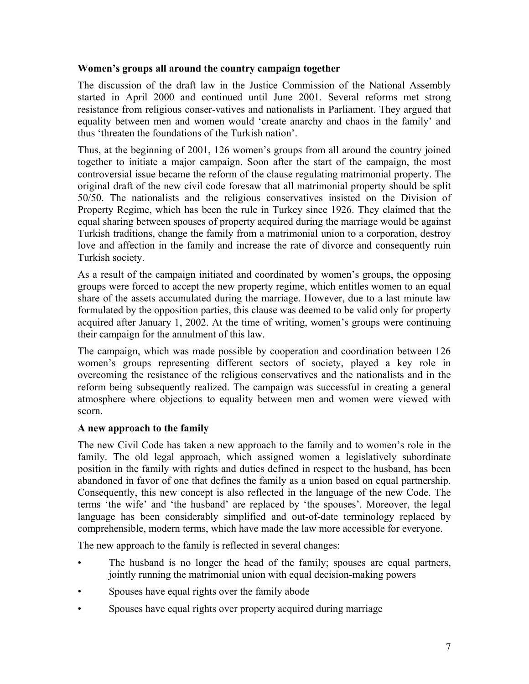## **Women's groups all around the country campaign together**

The discussion of the draft law in the Justice Commission of the National Assembly started in April 2000 and continued until June 2001. Several reforms met strong resistance from religious conser-vatives and nationalists in Parliament. They argued that equality between men and women would 'create anarchy and chaos in the family' and thus 'threaten the foundations of the Turkish nation'.

Thus, at the beginning of 2001, 126 women's groups from all around the country joined together to initiate a major campaign. Soon after the start of the campaign, the most controversial issue became the reform of the clause regulating matrimonial property. The original draft of the new civil code foresaw that all matrimonial property should be split 50/50. The nationalists and the religious conservatives insisted on the Division of Property Regime, which has been the rule in Turkey since 1926. They claimed that the equal sharing between spouses of property acquired during the marriage would be against Turkish traditions, change the family from a matrimonial union to a corporation, destroy love and affection in the family and increase the rate of divorce and consequently ruin Turkish society.

As a result of the campaign initiated and coordinated by women's groups, the opposing groups were forced to accept the new property regime, which entitles women to an equal share of the assets accumulated during the marriage. However, due to a last minute law formulated by the opposition parties, this clause was deemed to be valid only for property acquired after January 1, 2002. At the time of writing, women's groups were continuing their campaign for the annulment of this law.

The campaign, which was made possible by cooperation and coordination between 126 women's groups representing different sectors of society, played a key role in overcoming the resistance of the religious conservatives and the nationalists and in the reform being subsequently realized. The campaign was successful in creating a general atmosphere where objections to equality between men and women were viewed with scorn.

## **A new approach to the family**

The new Civil Code has taken a new approach to the family and to women's role in the family. The old legal approach, which assigned women a legislatively subordinate position in the family with rights and duties defined in respect to the husband, has been abandoned in favor of one that defines the family as a union based on equal partnership. Consequently, this new concept is also reflected in the language of the new Code. The terms 'the wife' and 'the husband' are replaced by 'the spouses'. Moreover, the legal language has been considerably simplified and out-of-date terminology replaced by comprehensible, modern terms, which have made the law more accessible for everyone.

The new approach to the family is reflected in several changes:

- The husband is no longer the head of the family; spouses are equal partners, jointly running the matrimonial union with equal decision-making powers
- Spouses have equal rights over the family abode
- Spouses have equal rights over property acquired during marriage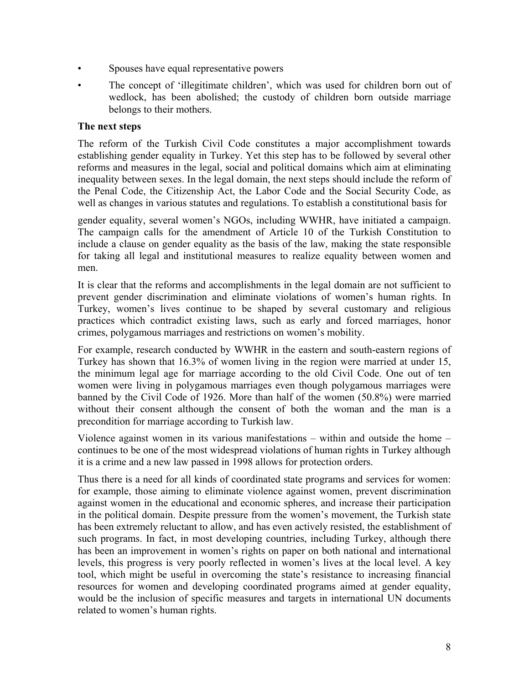- Spouses have equal representative powers
- The concept of 'illegitimate children', which was used for children born out of wedlock, has been abolished; the custody of children born outside marriage belongs to their mothers.

#### **The next steps**

The reform of the Turkish Civil Code constitutes a major accomplishment towards establishing gender equality in Turkey. Yet this step has to be followed by several other reforms and measures in the legal, social and political domains which aim at eliminating inequality between sexes. In the legal domain, the next steps should include the reform of the Penal Code, the Citizenship Act, the Labor Code and the Social Security Code, as well as changes in various statutes and regulations. To establish a constitutional basis for

gender equality, several women's NGOs, including WWHR, have initiated a campaign. The campaign calls for the amendment of Article 10 of the Turkish Constitution to include a clause on gender equality as the basis of the law, making the state responsible for taking all legal and institutional measures to realize equality between women and men.

It is clear that the reforms and accomplishments in the legal domain are not sufficient to prevent gender discrimination and eliminate violations of women's human rights. In Turkey, women's lives continue to be shaped by several customary and religious practices which contradict existing laws, such as early and forced marriages, honor crimes, polygamous marriages and restrictions on women's mobility.

For example, research conducted by WWHR in the eastern and south-eastern regions of Turkey has shown that 16.3% of women living in the region were married at under 15, the minimum legal age for marriage according to the old Civil Code. One out of ten women were living in polygamous marriages even though polygamous marriages were banned by the Civil Code of 1926. More than half of the women (50.8%) were married without their consent although the consent of both the woman and the man is a precondition for marriage according to Turkish law.

Violence against women in its various manifestations – within and outside the home – continues to be one of the most widespread violations of human rights in Turkey although it is a crime and a new law passed in 1998 allows for protection orders.

Thus there is a need for all kinds of coordinated state programs and services for women: for example, those aiming to eliminate violence against women, prevent discrimination against women in the educational and economic spheres, and increase their participation in the political domain. Despite pressure from the women's movement, the Turkish state has been extremely reluctant to allow, and has even actively resisted, the establishment of such programs. In fact, in most developing countries, including Turkey, although there has been an improvement in women's rights on paper on both national and international levels, this progress is very poorly reflected in women's lives at the local level. A key tool, which might be useful in overcoming the state's resistance to increasing financial resources for women and developing coordinated programs aimed at gender equality, would be the inclusion of specific measures and targets in international UN documents related to women's human rights.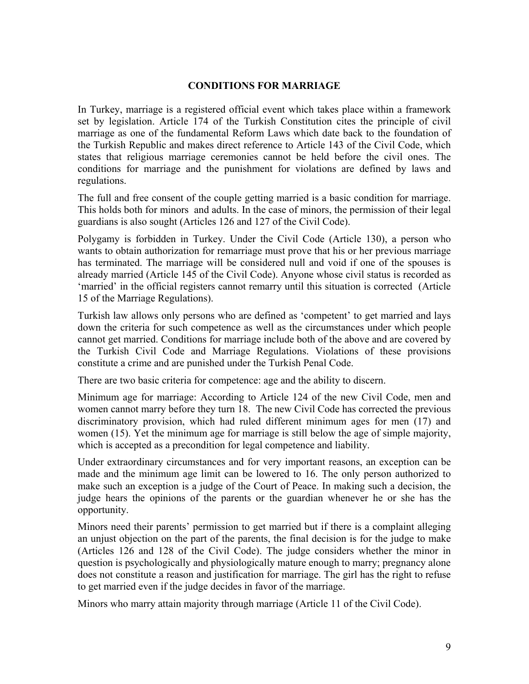## **CONDITIONS FOR MARRIAGE**

In Turkey, marriage is a registered official event which takes place within a framework set by legislation. Article 174 of the Turkish Constitution cites the principle of civil marriage as one of the fundamental Reform Laws which date back to the foundation of the Turkish Republic and makes direct reference to Article 143 of the Civil Code, which states that religious marriage ceremonies cannot be held before the civil ones. The conditions for marriage and the punishment for violations are defined by laws and regulations.

The full and free consent of the couple getting married is a basic condition for marriage. This holds both for minors and adults. In the case of minors, the permission of their legal guardians is also sought (Articles 126 and 127 of the Civil Code).

Polygamy is forbidden in Turkey. Under the Civil Code (Article 130), a person who wants to obtain authorization for remarriage must prove that his or her previous marriage has terminated. The marriage will be considered null and void if one of the spouses is already married (Article 145 of the Civil Code). Anyone whose civil status is recorded as 'married' in the official registers cannot remarry until this situation is corrected (Article 15 of the Marriage Regulations).

Turkish law allows only persons who are defined as 'competent' to get married and lays down the criteria for such competence as well as the circumstances under which people cannot get married. Conditions for marriage include both of the above and are covered by the Turkish Civil Code and Marriage Regulations. Violations of these provisions constitute a crime and are punished under the Turkish Penal Code.

There are two basic criteria for competence: age and the ability to discern.

Minimum age for marriage: According to Article 124 of the new Civil Code, men and women cannot marry before they turn 18. The new Civil Code has corrected the previous discriminatory provision, which had ruled different minimum ages for men (17) and women (15). Yet the minimum age for marriage is still below the age of simple majority, which is accepted as a precondition for legal competence and liability.

Under extraordinary circumstances and for very important reasons, an exception can be made and the minimum age limit can be lowered to 16. The only person authorized to make such an exception is a judge of the Court of Peace. In making such a decision, the judge hears the opinions of the parents or the guardian whenever he or she has the opportunity.

Minors need their parents' permission to get married but if there is a complaint alleging an unjust objection on the part of the parents, the final decision is for the judge to make (Articles 126 and 128 of the Civil Code). The judge considers whether the minor in question is psychologically and physiologically mature enough to marry; pregnancy alone does not constitute a reason and justification for marriage. The girl has the right to refuse to get married even if the judge decides in favor of the marriage.

Minors who marry attain majority through marriage (Article 11 of the Civil Code).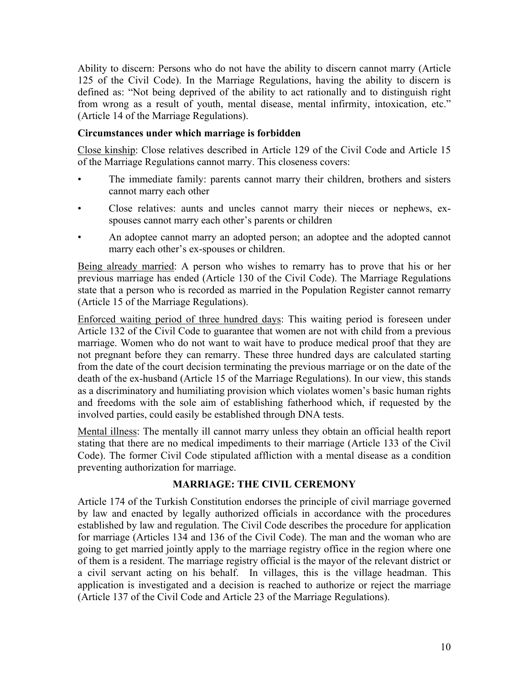Ability to discern: Persons who do not have the ability to discern cannot marry (Article 125 of the Civil Code). In the Marriage Regulations, having the ability to discern is defined as: "Not being deprived of the ability to act rationally and to distinguish right from wrong as a result of youth, mental disease, mental infirmity, intoxication, etc." (Article 14 of the Marriage Regulations).

## **Circumstances under which marriage is forbidden**

Close kinship: Close relatives described in Article 129 of the Civil Code and Article 15 of the Marriage Regulations cannot marry. This closeness covers:

- The immediate family: parents cannot marry their children, brothers and sisters cannot marry each other
- Close relatives: aunts and uncles cannot marry their nieces or nephews, exspouses cannot marry each other's parents or children
- An adoptee cannot marry an adopted person; an adoptee and the adopted cannot marry each other's ex-spouses or children.

Being already married: A person who wishes to remarry has to prove that his or her previous marriage has ended (Article 130 of the Civil Code). The Marriage Regulations state that a person who is recorded as married in the Population Register cannot remarry (Article 15 of the Marriage Regulations).

Enforced waiting period of three hundred days: This waiting period is foreseen under Article 132 of the Civil Code to guarantee that women are not with child from a previous marriage. Women who do not want to wait have to produce medical proof that they are not pregnant before they can remarry. These three hundred days are calculated starting from the date of the court decision terminating the previous marriage or on the date of the death of the ex-husband (Article 15 of the Marriage Regulations). In our view, this stands as a discriminatory and humiliating provision which violates women's basic human rights and freedoms with the sole aim of establishing fatherhood which, if requested by the involved parties, could easily be established through DNA tests.

Mental illness: The mentally ill cannot marry unless they obtain an official health report stating that there are no medical impediments to their marriage (Article 133 of the Civil Code). The former Civil Code stipulated affliction with a mental disease as a condition preventing authorization for marriage.

# **MARRIAGE: THE CIVIL CEREMONY**

Article 174 of the Turkish Constitution endorses the principle of civil marriage governed by law and enacted by legally authorized officials in accordance with the procedures established by law and regulation. The Civil Code describes the procedure for application for marriage (Articles 134 and 136 of the Civil Code). The man and the woman who are going to get married jointly apply to the marriage registry office in the region where one of them is a resident. The marriage registry official is the mayor of the relevant district or a civil servant acting on his behalf. In villages, this is the village headman. This application is investigated and a decision is reached to authorize or reject the marriage (Article 137 of the Civil Code and Article 23 of the Marriage Regulations).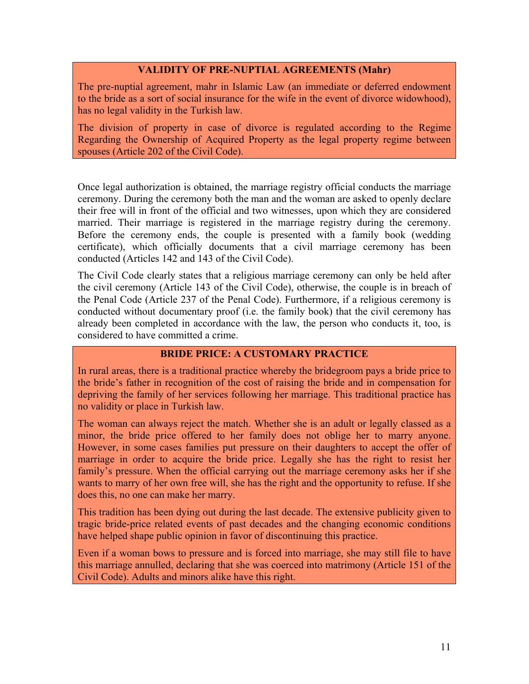#### **VALIDITY OF PRE-NUPTIAL AGREEMENTS (Mahr)**

The pre-nuptial agreement, mahr in Islamic Law (an immediate or deferred endowment to the bride as a sort of social insurance for the wife in the event of divorce widowhood), has no legal validity in the Turkish law.

The division of property in case of divorce is regulated according to the Regime Regarding the Ownership of Acquired Property as the legal property regime between spouses (Article 202 of the Civil Code).

Once legal authorization is obtained, the marriage registry official conducts the marriage ceremony. During the ceremony both the man and the woman are asked to openly declare their free will in front of the official and two witnesses, upon which they are considered married. Their marriage is registered in the marriage registry during the ceremony. Before the ceremony ends, the couple is presented with a family book (wedding certificate), which officially documents that a civil marriage ceremony has been conducted (Articles 142 and 143 of the Civil Code).

The Civil Code clearly states that a religious marriage ceremony can only be held after the civil ceremony (Article 143 of the Civil Code), otherwise, the couple is in breach of the Penal Code (Article 237 of the Penal Code). Furthermore, if a religious ceremony is conducted without documentary proof (i.e. the family book) that the civil ceremony has already been completed in accordance with the law, the person who conducts it, too, is considered to have committed a crime.

## **BRIDE PRICE: A CUSTOMARY PRACTICE**

In rural areas, there is a traditional practice whereby the bridegroom pays a bride price to the bride's father in recognition of the cost of raising the bride and in compensation for depriving the family of her services following her marriage. This traditional practice has no validity or place in Turkish law.

The woman can always reject the match. Whether she is an adult or legally classed as a minor, the bride price offered to her family does not oblige her to marry anyone. However, in some cases families put pressure on their daughters to accept the offer of marriage in order to acquire the bride price. Legally she has the right to resist her family's pressure. When the official carrying out the marriage ceremony asks her if she wants to marry of her own free will, she has the right and the opportunity to refuse. If she does this, no one can make her marry.

This tradition has been dying out during the last decade. The extensive publicity given to tragic bride-price related events of past decades and the changing economic conditions have helped shape public opinion in favor of discontinuing this practice.

Even if a woman bows to pressure and is forced into marriage, she may still file to have this marriage annulled, declaring that she was coerced into matrimony (Article 151 of the Civil Code). Adults and minors alike have this right.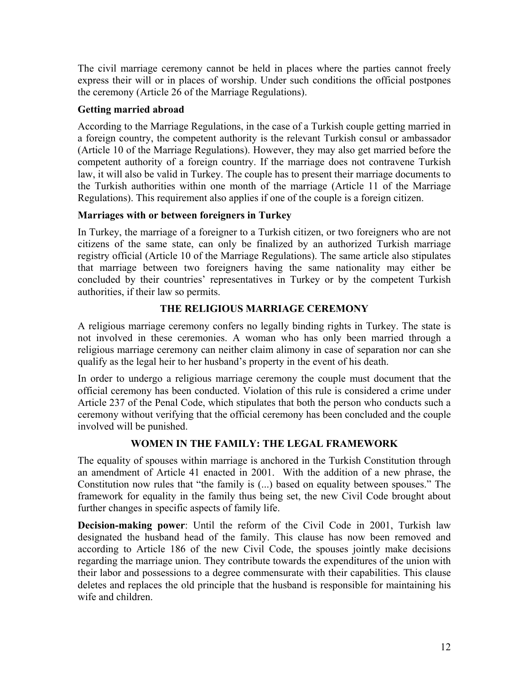The civil marriage ceremony cannot be held in places where the parties cannot freely express their will or in places of worship. Under such conditions the official postpones the ceremony (Article 26 of the Marriage Regulations).

## **Getting married abroad**

According to the Marriage Regulations, in the case of a Turkish couple getting married in a foreign country, the competent authority is the relevant Turkish consul or ambassador (Article 10 of the Marriage Regulations). However, they may also get married before the competent authority of a foreign country. If the marriage does not contravene Turkish law, it will also be valid in Turkey. The couple has to present their marriage documents to the Turkish authorities within one month of the marriage (Article 11 of the Marriage Regulations). This requirement also applies if one of the couple is a foreign citizen.

## **Marriages with or between foreigners in Turkey**

In Turkey, the marriage of a foreigner to a Turkish citizen, or two foreigners who are not citizens of the same state, can only be finalized by an authorized Turkish marriage registry official (Article 10 of the Marriage Regulations). The same article also stipulates that marriage between two foreigners having the same nationality may either be concluded by their countries' representatives in Turkey or by the competent Turkish authorities, if their law so permits.

# **THE RELIGIOUS MARRIAGE CEREMONY**

A religious marriage ceremony confers no legally binding rights in Turkey. The state is not involved in these ceremonies. A woman who has only been married through a religious marriage ceremony can neither claim alimony in case of separation nor can she qualify as the legal heir to her husband's property in the event of his death.

In order to undergo a religious marriage ceremony the couple must document that the official ceremony has been conducted. Violation of this rule is considered a crime under Article 237 of the Penal Code, which stipulates that both the person who conducts such a ceremony without verifying that the official ceremony has been concluded and the couple involved will be punished.

# **WOMEN IN THE FAMILY: THE LEGAL FRAMEWORK**

The equality of spouses within marriage is anchored in the Turkish Constitution through an amendment of Article 41 enacted in 2001. With the addition of a new phrase, the Constitution now rules that "the family is (...) based on equality between spouses." The framework for equality in the family thus being set, the new Civil Code brought about further changes in specific aspects of family life.

**Decision-making power**: Until the reform of the Civil Code in 2001, Turkish law designated the husband head of the family. This clause has now been removed and according to Article 186 of the new Civil Code, the spouses jointly make decisions regarding the marriage union. They contribute towards the expenditures of the union with their labor and possessions to a degree commensurate with their capabilities. This clause deletes and replaces the old principle that the husband is responsible for maintaining his wife and children.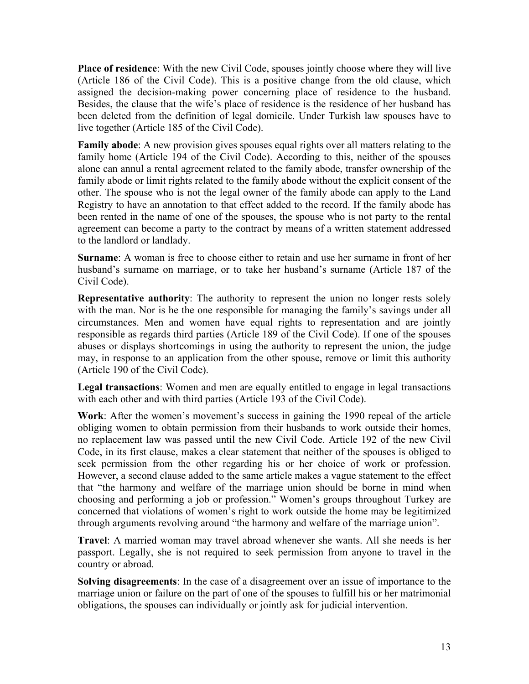**Place of residence**: With the new Civil Code, spouses jointly choose where they will live (Article 186 of the Civil Code). This is a positive change from the old clause, which assigned the decision-making power concerning place of residence to the husband. Besides, the clause that the wife's place of residence is the residence of her husband has been deleted from the definition of legal domicile. Under Turkish law spouses have to live together (Article 185 of the Civil Code).

**Family abode**: A new provision gives spouses equal rights over all matters relating to the family home (Article 194 of the Civil Code). According to this, neither of the spouses alone can annul a rental agreement related to the family abode, transfer ownership of the family abode or limit rights related to the family abode without the explicit consent of the other. The spouse who is not the legal owner of the family abode can apply to the Land Registry to have an annotation to that effect added to the record. If the family abode has been rented in the name of one of the spouses, the spouse who is not party to the rental agreement can become a party to the contract by means of a written statement addressed to the landlord or landlady.

**Surname**: A woman is free to choose either to retain and use her surname in front of her husband's surname on marriage, or to take her husband's surname (Article 187 of the Civil Code).

**Representative authority**: The authority to represent the union no longer rests solely with the man. Nor is he the one responsible for managing the family's savings under all circumstances. Men and women have equal rights to representation and are jointly responsible as regards third parties (Article 189 of the Civil Code). If one of the spouses abuses or displays shortcomings in using the authority to represent the union, the judge may, in response to an application from the other spouse, remove or limit this authority (Article 190 of the Civil Code).

**Legal transactions**: Women and men are equally entitled to engage in legal transactions with each other and with third parties (Article 193 of the Civil Code).

**Work**: After the women's movement's success in gaining the 1990 repeal of the article obliging women to obtain permission from their husbands to work outside their homes, no replacement law was passed until the new Civil Code. Article 192 of the new Civil Code, in its first clause, makes a clear statement that neither of the spouses is obliged to seek permission from the other regarding his or her choice of work or profession. However, a second clause added to the same article makes a vague statement to the effect that "the harmony and welfare of the marriage union should be borne in mind when choosing and performing a job or profession." Women's groups throughout Turkey are concerned that violations of women's right to work outside the home may be legitimized through arguments revolving around "the harmony and welfare of the marriage union".

**Travel**: A married woman may travel abroad whenever she wants. All she needs is her passport. Legally, she is not required to seek permission from anyone to travel in the country or abroad.

**Solving disagreements**: In the case of a disagreement over an issue of importance to the marriage union or failure on the part of one of the spouses to fulfill his or her matrimonial obligations, the spouses can individually or jointly ask for judicial intervention.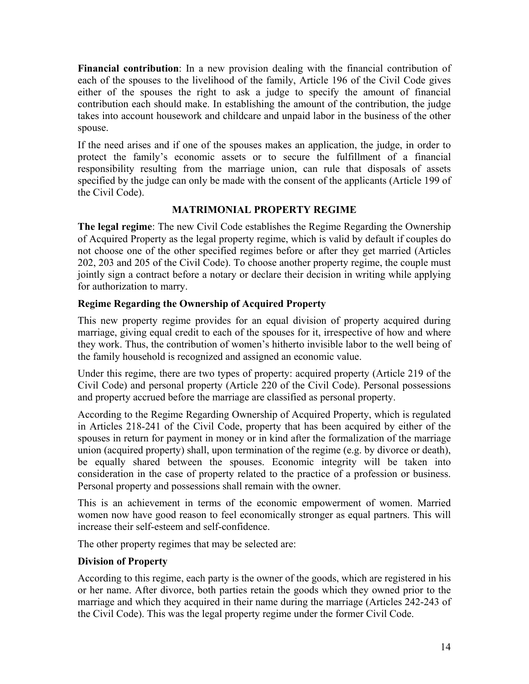**Financial contribution**: In a new provision dealing with the financial contribution of each of the spouses to the livelihood of the family, Article 196 of the Civil Code gives either of the spouses the right to ask a judge to specify the amount of financial contribution each should make. In establishing the amount of the contribution, the judge takes into account housework and childcare and unpaid labor in the business of the other spouse.

If the need arises and if one of the spouses makes an application, the judge, in order to protect the family's economic assets or to secure the fulfillment of a financial responsibility resulting from the marriage union, can rule that disposals of assets specified by the judge can only be made with the consent of the applicants (Article 199 of the Civil Code).

# **MATRIMONIAL PROPERTY REGIME**

**The legal regime**: The new Civil Code establishes the Regime Regarding the Ownership of Acquired Property as the legal property regime, which is valid by default if couples do not choose one of the other specified regimes before or after they get married (Articles 202, 203 and 205 of the Civil Code). To choose another property regime, the couple must jointly sign a contract before a notary or declare their decision in writing while applying for authorization to marry.

# **Regime Regarding the Ownership of Acquired Property**

This new property regime provides for an equal division of property acquired during marriage, giving equal credit to each of the spouses for it, irrespective of how and where they work. Thus, the contribution of women's hitherto invisible labor to the well being of the family household is recognized and assigned an economic value.

Under this regime, there are two types of property: acquired property (Article 219 of the Civil Code) and personal property (Article 220 of the Civil Code). Personal possessions and property accrued before the marriage are classified as personal property.

According to the Regime Regarding Ownership of Acquired Property, which is regulated in Articles 218-241 of the Civil Code, property that has been acquired by either of the spouses in return for payment in money or in kind after the formalization of the marriage union (acquired property) shall, upon termination of the regime (e.g. by divorce or death), be equally shared between the spouses. Economic integrity will be taken into consideration in the case of property related to the practice of a profession or business. Personal property and possessions shall remain with the owner.

This is an achievement in terms of the economic empowerment of women. Married women now have good reason to feel economically stronger as equal partners. This will increase their self-esteem and self-confidence.

The other property regimes that may be selected are:

## **Division of Property**

According to this regime, each party is the owner of the goods, which are registered in his or her name. After divorce, both parties retain the goods which they owned prior to the marriage and which they acquired in their name during the marriage (Articles 242-243 of the Civil Code). This was the legal property regime under the former Civil Code.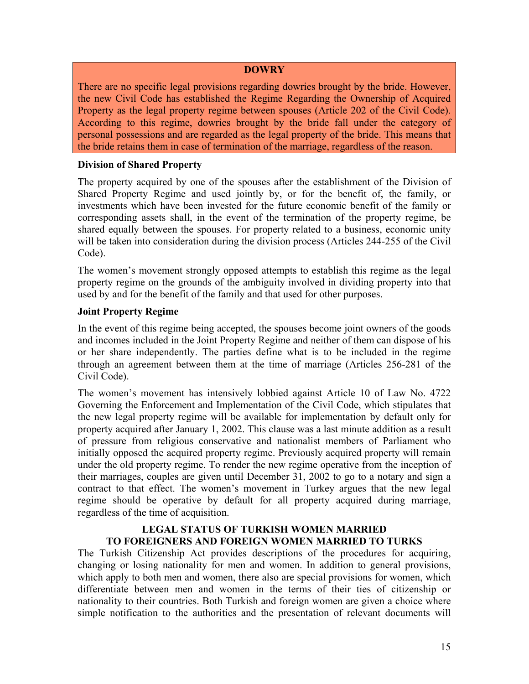#### **DOWRY**

There are no specific legal provisions regarding dowries brought by the bride. However, the new Civil Code has established the Regime Regarding the Ownership of Acquired Property as the legal property regime between spouses (Article 202 of the Civil Code). According to this regime, dowries brought by the bride fall under the category of personal possessions and are regarded as the legal property of the bride. This means that the bride retains them in case of termination of the marriage, regardless of the reason.

#### **Division of Shared Property**

The property acquired by one of the spouses after the establishment of the Division of Shared Property Regime and used jointly by, or for the benefit of, the family, or investments which have been invested for the future economic benefit of the family or corresponding assets shall, in the event of the termination of the property regime, be shared equally between the spouses. For property related to a business, economic unity will be taken into consideration during the division process (Articles 244-255 of the Civil Code).

The women's movement strongly opposed attempts to establish this regime as the legal property regime on the grounds of the ambiguity involved in dividing property into that used by and for the benefit of the family and that used for other purposes.

#### **Joint Property Regime**

In the event of this regime being accepted, the spouses become joint owners of the goods and incomes included in the Joint Property Regime and neither of them can dispose of his or her share independently. The parties define what is to be included in the regime through an agreement between them at the time of marriage (Articles 256-281 of the Civil Code).

The women's movement has intensively lobbied against Article 10 of Law No. 4722 Governing the Enforcement and Implementation of the Civil Code, which stipulates that the new legal property regime will be available for implementation by default only for property acquired after January 1, 2002. This clause was a last minute addition as a result of pressure from religious conservative and nationalist members of Parliament who initially opposed the acquired property regime. Previously acquired property will remain under the old property regime. To render the new regime operative from the inception of their marriages, couples are given until December 31, 2002 to go to a notary and sign a contract to that effect. The women's movement in Turkey argues that the new legal regime should be operative by default for all property acquired during marriage, regardless of the time of acquisition.

#### **LEGAL STATUS OF TURKISH WOMEN MARRIED TO FOREIGNERS AND FOREIGN WOMEN MARRIED TO TURKS**

The Turkish Citizenship Act provides descriptions of the procedures for acquiring, changing or losing nationality for men and women. In addition to general provisions, which apply to both men and women, there also are special provisions for women, which differentiate between men and women in the terms of their ties of citizenship or nationality to their countries. Both Turkish and foreign women are given a choice where simple notification to the authorities and the presentation of relevant documents will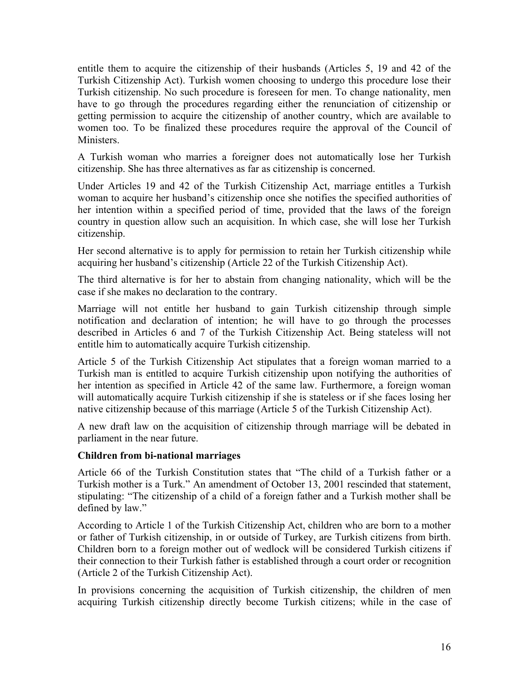entitle them to acquire the citizenship of their husbands (Articles 5, 19 and 42 of the Turkish Citizenship Act). Turkish women choosing to undergo this procedure lose their Turkish citizenship. No such procedure is foreseen for men. To change nationality, men have to go through the procedures regarding either the renunciation of citizenship or getting permission to acquire the citizenship of another country, which are available to women too. To be finalized these procedures require the approval of the Council of **Ministers** 

A Turkish woman who marries a foreigner does not automatically lose her Turkish citizenship. She has three alternatives as far as citizenship is concerned.

Under Articles 19 and 42 of the Turkish Citizenship Act, marriage entitles a Turkish woman to acquire her husband's citizenship once she notifies the specified authorities of her intention within a specified period of time, provided that the laws of the foreign country in question allow such an acquisition. In which case, she will lose her Turkish citizenship.

Her second alternative is to apply for permission to retain her Turkish citizenship while acquiring her husband's citizenship (Article 22 of the Turkish Citizenship Act).

The third alternative is for her to abstain from changing nationality, which will be the case if she makes no declaration to the contrary.

Marriage will not entitle her husband to gain Turkish citizenship through simple notification and declaration of intention; he will have to go through the processes described in Articles 6 and 7 of the Turkish Citizenship Act. Being stateless will not entitle him to automatically acquire Turkish citizenship.

Article 5 of the Turkish Citizenship Act stipulates that a foreign woman married to a Turkish man is entitled to acquire Turkish citizenship upon notifying the authorities of her intention as specified in Article 42 of the same law. Furthermore, a foreign woman will automatically acquire Turkish citizenship if she is stateless or if she faces losing her native citizenship because of this marriage (Article 5 of the Turkish Citizenship Act).

A new draft law on the acquisition of citizenship through marriage will be debated in parliament in the near future.

## **Children from bi-national marriages**

Article 66 of the Turkish Constitution states that "The child of a Turkish father or a Turkish mother is a Turk." An amendment of October 13, 2001 rescinded that statement, stipulating: "The citizenship of a child of a foreign father and a Turkish mother shall be defined by law."

According to Article 1 of the Turkish Citizenship Act, children who are born to a mother or father of Turkish citizenship, in or outside of Turkey, are Turkish citizens from birth. Children born to a foreign mother out of wedlock will be considered Turkish citizens if their connection to their Turkish father is established through a court order or recognition (Article 2 of the Turkish Citizenship Act).

In provisions concerning the acquisition of Turkish citizenship, the children of men acquiring Turkish citizenship directly become Turkish citizens; while in the case of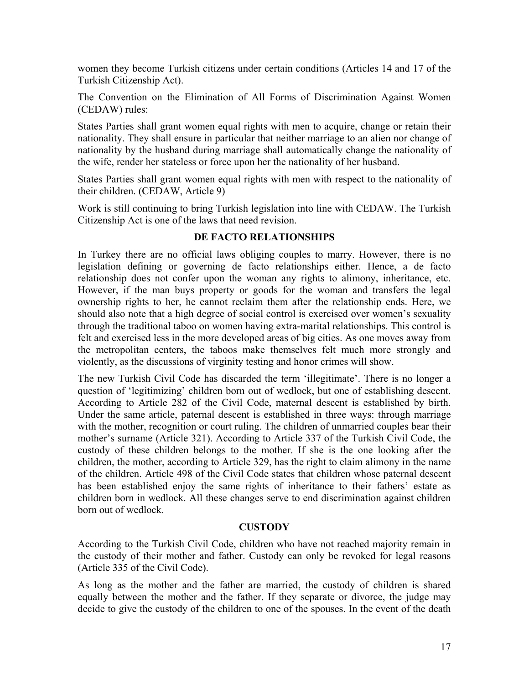women they become Turkish citizens under certain conditions (Articles 14 and 17 of the Turkish Citizenship Act).

The Convention on the Elimination of All Forms of Discrimination Against Women (CEDAW) rules:

States Parties shall grant women equal rights with men to acquire, change or retain their nationality. They shall ensure in particular that neither marriage to an alien nor change of nationality by the husband during marriage shall automatically change the nationality of the wife, render her stateless or force upon her the nationality of her husband.

States Parties shall grant women equal rights with men with respect to the nationality of their children. (CEDAW, Article 9)

Work is still continuing to bring Turkish legislation into line with CEDAW. The Turkish Citizenship Act is one of the laws that need revision.

## **DE FACTO RELATIONSHIPS**

In Turkey there are no official laws obliging couples to marry. However, there is no legislation defining or governing de facto relationships either. Hence, a de facto relationship does not confer upon the woman any rights to alimony, inheritance, etc. However, if the man buys property or goods for the woman and transfers the legal ownership rights to her, he cannot reclaim them after the relationship ends. Here, we should also note that a high degree of social control is exercised over women's sexuality through the traditional taboo on women having extra-marital relationships. This control is felt and exercised less in the more developed areas of big cities. As one moves away from the metropolitan centers, the taboos make themselves felt much more strongly and violently, as the discussions of virginity testing and honor crimes will show.

The new Turkish Civil Code has discarded the term 'illegitimate'. There is no longer a question of 'legitimizing' children born out of wedlock, but one of establishing descent. According to Article 282 of the Civil Code, maternal descent is established by birth. Under the same article, paternal descent is established in three ways: through marriage with the mother, recognition or court ruling. The children of unmarried couples bear their mother's surname (Article 321). According to Article 337 of the Turkish Civil Code, the custody of these children belongs to the mother. If she is the one looking after the children, the mother, according to Article 329, has the right to claim alimony in the name of the children. Article 498 of the Civil Code states that children whose paternal descent has been established enjoy the same rights of inheritance to their fathers' estate as children born in wedlock. All these changes serve to end discrimination against children born out of wedlock.

#### **CUSTODY**

According to the Turkish Civil Code, children who have not reached majority remain in the custody of their mother and father. Custody can only be revoked for legal reasons (Article 335 of the Civil Code).

As long as the mother and the father are married, the custody of children is shared equally between the mother and the father. If they separate or divorce, the judge may decide to give the custody of the children to one of the spouses. In the event of the death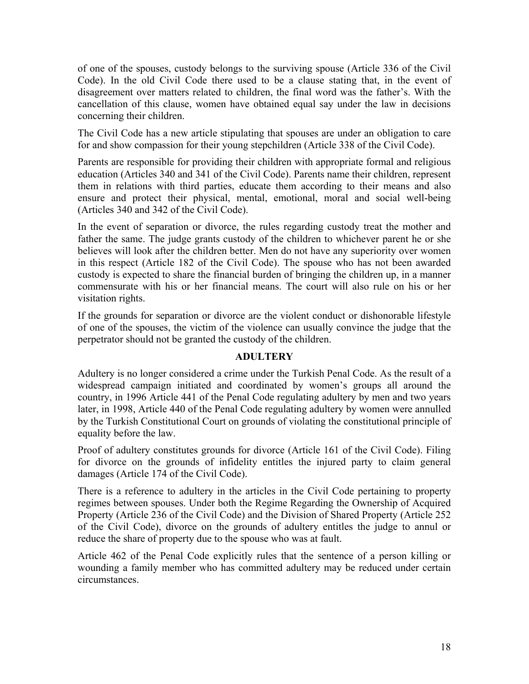of one of the spouses, custody belongs to the surviving spouse (Article 336 of the Civil Code). In the old Civil Code there used to be a clause stating that, in the event of disagreement over matters related to children, the final word was the father's. With the cancellation of this clause, women have obtained equal say under the law in decisions concerning their children.

The Civil Code has a new article stipulating that spouses are under an obligation to care for and show compassion for their young stepchildren (Article 338 of the Civil Code).

Parents are responsible for providing their children with appropriate formal and religious education (Articles 340 and 341 of the Civil Code). Parents name their children, represent them in relations with third parties, educate them according to their means and also ensure and protect their physical, mental, emotional, moral and social well-being (Articles 340 and 342 of the Civil Code).

In the event of separation or divorce, the rules regarding custody treat the mother and father the same. The judge grants custody of the children to whichever parent he or she believes will look after the children better. Men do not have any superiority over women in this respect (Article 182 of the Civil Code). The spouse who has not been awarded custody is expected to share the financial burden of bringing the children up, in a manner commensurate with his or her financial means. The court will also rule on his or her visitation rights.

If the grounds for separation or divorce are the violent conduct or dishonorable lifestyle of one of the spouses, the victim of the violence can usually convince the judge that the perpetrator should not be granted the custody of the children.

## **ADULTERY**

Adultery is no longer considered a crime under the Turkish Penal Code. As the result of a widespread campaign initiated and coordinated by women's groups all around the country, in 1996 Article 441 of the Penal Code regulating adultery by men and two years later, in 1998, Article 440 of the Penal Code regulating adultery by women were annulled by the Turkish Constitutional Court on grounds of violating the constitutional principle of equality before the law.

Proof of adultery constitutes grounds for divorce (Article 161 of the Civil Code). Filing for divorce on the grounds of infidelity entitles the injured party to claim general damages (Article 174 of the Civil Code).

There is a reference to adultery in the articles in the Civil Code pertaining to property regimes between spouses. Under both the Regime Regarding the Ownership of Acquired Property (Article 236 of the Civil Code) and the Division of Shared Property (Article 252 of the Civil Code), divorce on the grounds of adultery entitles the judge to annul or reduce the share of property due to the spouse who was at fault.

Article 462 of the Penal Code explicitly rules that the sentence of a person killing or wounding a family member who has committed adultery may be reduced under certain circumstances.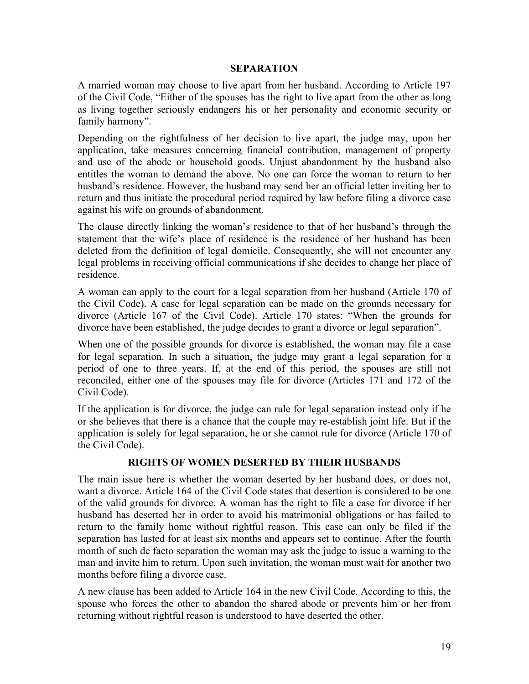#### **SEPARATION**

A married woman may choose to live apart from her husband. According to Article 197 of the Civil Code, "Either of the spouses has the right to live apart from the other as long as living together seriously endangers his or her personality and economic security or family harmony".

Depending on the rightfulness of her decision to live apart, the judge may, upon her application, take measures concerning financial contribution, management of property and use of the abode or household goods. Unjust abandonment by the husband also entitles the woman to demand the above. No one can force the woman to return to her husband's residence. However, the husband may send her an official letter inviting her to return and thus initiate the procedural period required by law before filing a divorce case against his wife on grounds of abandonment.

The clause directly linking the woman's residence to that of her husband's through the statement that the wife's place of residence is the residence of her husband has been deleted from the definition of legal domicile. Consequently, she will not encounter any legal problems in receiving official communications if she decides to change her place of residence.

A woman can apply to the court for a legal separation from her husband (Article 170 of the Civil Code). A case for legal separation can be made on the grounds necessary for divorce (Article 167 of the Civil Code). Article 170 states: "When the grounds for divorce have been established, the judge decides to grant a divorce or legal separation".

When one of the possible grounds for divorce is established, the woman may file a case for legal separation. In such a situation, the judge may grant a legal separation for a period of one to three years. If, at the end of this period, the spouses are still not reconciled, either one of the spouses may file for divorce (Articles 171 and 172 of the Civil Code).

If the application is for divorce, the judge can rule for legal separation instead only if he or she believes that there is a chance that the couple may re-establish joint life. But if the application is solely for legal separation, he or she cannot rule for divorce (Article 170 of the Civil Code).

#### **RIGHTS OF WOMEN DESERTED BY THEIR HUSBANDS**

The main issue here is whether the woman deserted by her husband does, or does not, want a divorce. Article 164 of the Civil Code states that desertion is considered to be one of the valid grounds for divorce. A woman has the right to file a case for divorce if her husband has deserted her in order to avoid his matrimonial obligations or has failed to return to the family home without rightful reason. This case can only be filed if the separation has lasted for at least six months and appears set to continue. After the fourth month of such de facto separation the woman may ask the judge to issue a warning to the man and invite him to return. Upon such invitation, the woman must wait for another two months before filing a divorce case.

A new clause has been added to Article 164 in the new Civil Code. According to this, the spouse who forces the other to abandon the shared abode or prevents him or her from returning without rightful reason is understood to have deserted the other.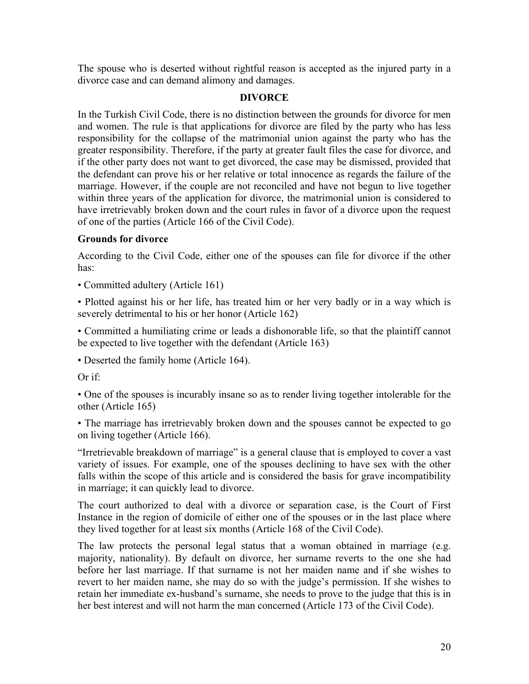The spouse who is deserted without rightful reason is accepted as the injured party in a divorce case and can demand alimony and damages.

## **DIVORCE**

In the Turkish Civil Code, there is no distinction between the grounds for divorce for men and women. The rule is that applications for divorce are filed by the party who has less responsibility for the collapse of the matrimonial union against the party who has the greater responsibility. Therefore, if the party at greater fault files the case for divorce, and if the other party does not want to get divorced, the case may be dismissed, provided that the defendant can prove his or her relative or total innocence as regards the failure of the marriage. However, if the couple are not reconciled and have not begun to live together within three years of the application for divorce, the matrimonial union is considered to have irretrievably broken down and the court rules in favor of a divorce upon the request of one of the parties (Article 166 of the Civil Code).

## **Grounds for divorce**

According to the Civil Code, either one of the spouses can file for divorce if the other has:

• Committed adultery (Article 161)

• Plotted against his or her life, has treated him or her very badly or in a way which is severely detrimental to his or her honor (Article 162)

• Committed a humiliating crime or leads a dishonorable life, so that the plaintiff cannot be expected to live together with the defendant (Article 163)

• Deserted the family home (Article 164).

Or if:

• One of the spouses is incurably insane so as to render living together intolerable for the other (Article 165)

• The marriage has irretrievably broken down and the spouses cannot be expected to go on living together (Article 166).

"Irretrievable breakdown of marriage" is a general clause that is employed to cover a vast variety of issues. For example, one of the spouses declining to have sex with the other falls within the scope of this article and is considered the basis for grave incompatibility in marriage; it can quickly lead to divorce.

The court authorized to deal with a divorce or separation case, is the Court of First Instance in the region of domicile of either one of the spouses or in the last place where they lived together for at least six months (Article 168 of the Civil Code).

The law protects the personal legal status that a woman obtained in marriage (e.g. majority, nationality). By default on divorce, her surname reverts to the one she had before her last marriage. If that surname is not her maiden name and if she wishes to revert to her maiden name, she may do so with the judge's permission. If she wishes to retain her immediate ex-husband's surname, she needs to prove to the judge that this is in her best interest and will not harm the man concerned (Article 173 of the Civil Code).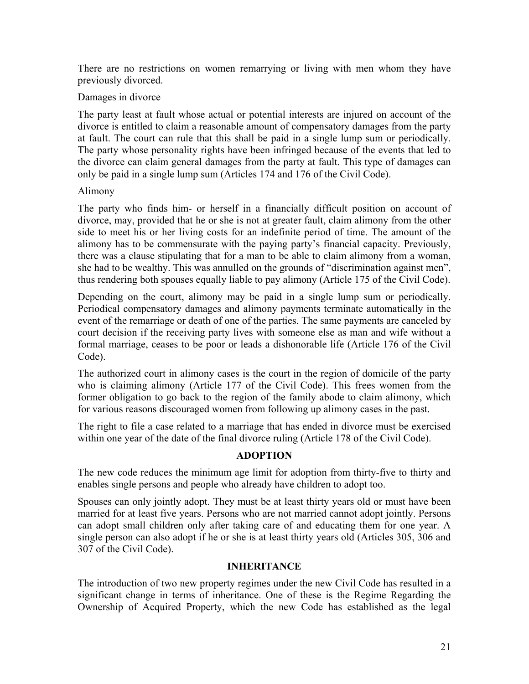There are no restrictions on women remarrying or living with men whom they have previously divorced.

#### Damages in divorce

The party least at fault whose actual or potential interests are injured on account of the divorce is entitled to claim a reasonable amount of compensatory damages from the party at fault. The court can rule that this shall be paid in a single lump sum or periodically. The party whose personality rights have been infringed because of the events that led to the divorce can claim general damages from the party at fault. This type of damages can only be paid in a single lump sum (Articles 174 and 176 of the Civil Code).

#### Alimony

The party who finds him- or herself in a financially difficult position on account of divorce, may, provided that he or she is not at greater fault, claim alimony from the other side to meet his or her living costs for an indefinite period of time. The amount of the alimony has to be commensurate with the paying party's financial capacity. Previously, there was a clause stipulating that for a man to be able to claim alimony from a woman, she had to be wealthy. This was annulled on the grounds of "discrimination against men", thus rendering both spouses equally liable to pay alimony (Article 175 of the Civil Code).

Depending on the court, alimony may be paid in a single lump sum or periodically. Periodical compensatory damages and alimony payments terminate automatically in the event of the remarriage or death of one of the parties. The same payments are canceled by court decision if the receiving party lives with someone else as man and wife without a formal marriage, ceases to be poor or leads a dishonorable life (Article 176 of the Civil Code).

The authorized court in alimony cases is the court in the region of domicile of the party who is claiming alimony (Article 177 of the Civil Code). This frees women from the former obligation to go back to the region of the family abode to claim alimony, which for various reasons discouraged women from following up alimony cases in the past.

The right to file a case related to a marriage that has ended in divorce must be exercised within one year of the date of the final divorce ruling (Article 178 of the Civil Code).

## **ADOPTION**

The new code reduces the minimum age limit for adoption from thirty-five to thirty and enables single persons and people who already have children to adopt too.

Spouses can only jointly adopt. They must be at least thirty years old or must have been married for at least five years. Persons who are not married cannot adopt jointly. Persons can adopt small children only after taking care of and educating them for one year. A single person can also adopt if he or she is at least thirty years old (Articles 305, 306 and 307 of the Civil Code).

## **INHERITANCE**

The introduction of two new property regimes under the new Civil Code has resulted in a significant change in terms of inheritance. One of these is the Regime Regarding the Ownership of Acquired Property, which the new Code has established as the legal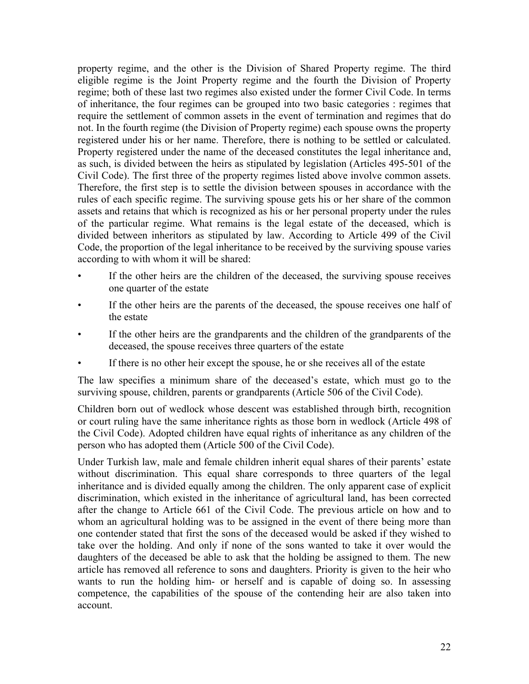property regime, and the other is the Division of Shared Property regime. The third eligible regime is the Joint Property regime and the fourth the Division of Property regime; both of these last two regimes also existed under the former Civil Code. In terms of inheritance, the four regimes can be grouped into two basic categories : regimes that require the settlement of common assets in the event of termination and regimes that do not. In the fourth regime (the Division of Property regime) each spouse owns the property registered under his or her name. Therefore, there is nothing to be settled or calculated. Property registered under the name of the deceased constitutes the legal inheritance and, as such, is divided between the heirs as stipulated by legislation (Articles 495-501 of the Civil Code). The first three of the property regimes listed above involve common assets. Therefore, the first step is to settle the division between spouses in accordance with the rules of each specific regime. The surviving spouse gets his or her share of the common assets and retains that which is recognized as his or her personal property under the rules of the particular regime. What remains is the legal estate of the deceased, which is divided between inheritors as stipulated by law. According to Article 499 of the Civil Code, the proportion of the legal inheritance to be received by the surviving spouse varies according to with whom it will be shared:

- If the other heirs are the children of the deceased, the surviving spouse receives one quarter of the estate
- If the other heirs are the parents of the deceased, the spouse receives one half of the estate
- If the other heirs are the grandparents and the children of the grandparents of the deceased, the spouse receives three quarters of the estate
- If there is no other heir except the spouse, he or she receives all of the estate

The law specifies a minimum share of the deceased's estate, which must go to the surviving spouse, children, parents or grandparents (Article 506 of the Civil Code).

Children born out of wedlock whose descent was established through birth, recognition or court ruling have the same inheritance rights as those born in wedlock (Article 498 of the Civil Code). Adopted children have equal rights of inheritance as any children of the person who has adopted them (Article 500 of the Civil Code).

Under Turkish law, male and female children inherit equal shares of their parents' estate without discrimination. This equal share corresponds to three quarters of the legal inheritance and is divided equally among the children. The only apparent case of explicit discrimination, which existed in the inheritance of agricultural land, has been corrected after the change to Article 661 of the Civil Code. The previous article on how and to whom an agricultural holding was to be assigned in the event of there being more than one contender stated that first the sons of the deceased would be asked if they wished to take over the holding. And only if none of the sons wanted to take it over would the daughters of the deceased be able to ask that the holding be assigned to them. The new article has removed all reference to sons and daughters. Priority is given to the heir who wants to run the holding him- or herself and is capable of doing so. In assessing competence, the capabilities of the spouse of the contending heir are also taken into account.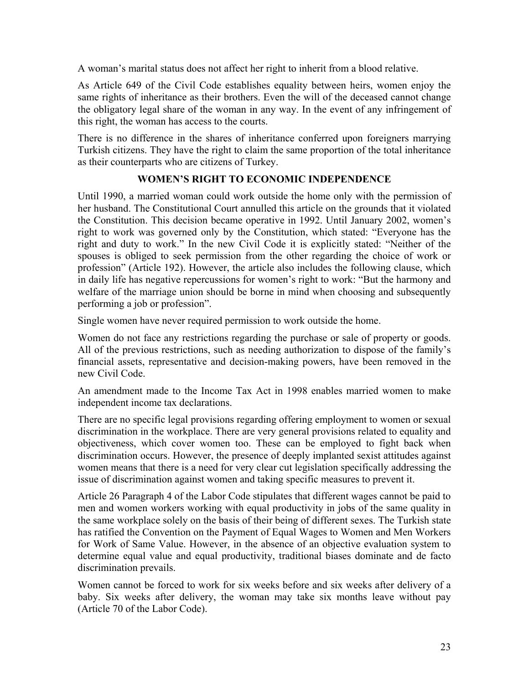A woman's marital status does not affect her right to inherit from a blood relative.

As Article 649 of the Civil Code establishes equality between heirs, women enjoy the same rights of inheritance as their brothers. Even the will of the deceased cannot change the obligatory legal share of the woman in any way. In the event of any infringement of this right, the woman has access to the courts.

There is no difference in the shares of inheritance conferred upon foreigners marrying Turkish citizens. They have the right to claim the same proportion of the total inheritance as their counterparts who are citizens of Turkey.

## **WOMEN'S RIGHT TO ECONOMIC INDEPENDENCE**

Until 1990, a married woman could work outside the home only with the permission of her husband. The Constitutional Court annulled this article on the grounds that it violated the Constitution. This decision became operative in 1992. Until January 2002, women's right to work was governed only by the Constitution, which stated: "Everyone has the right and duty to work." In the new Civil Code it is explicitly stated: "Neither of the spouses is obliged to seek permission from the other regarding the choice of work or profession" (Article 192). However, the article also includes the following clause, which in daily life has negative repercussions for women's right to work: "But the harmony and welfare of the marriage union should be borne in mind when choosing and subsequently performing a job or profession".

Single women have never required permission to work outside the home.

Women do not face any restrictions regarding the purchase or sale of property or goods. All of the previous restrictions, such as needing authorization to dispose of the family's financial assets, representative and decision-making powers, have been removed in the new Civil Code.

An amendment made to the Income Tax Act in 1998 enables married women to make independent income tax declarations.

There are no specific legal provisions regarding offering employment to women or sexual discrimination in the workplace. There are very general provisions related to equality and objectiveness, which cover women too. These can be employed to fight back when discrimination occurs. However, the presence of deeply implanted sexist attitudes against women means that there is a need for very clear cut legislation specifically addressing the issue of discrimination against women and taking specific measures to prevent it.

Article 26 Paragraph 4 of the Labor Code stipulates that different wages cannot be paid to men and women workers working with equal productivity in jobs of the same quality in the same workplace solely on the basis of their being of different sexes. The Turkish state has ratified the Convention on the Payment of Equal Wages to Women and Men Workers for Work of Same Value. However, in the absence of an objective evaluation system to determine equal value and equal productivity, traditional biases dominate and de facto discrimination prevails.

Women cannot be forced to work for six weeks before and six weeks after delivery of a baby. Six weeks after delivery, the woman may take six months leave without pay (Article 70 of the Labor Code).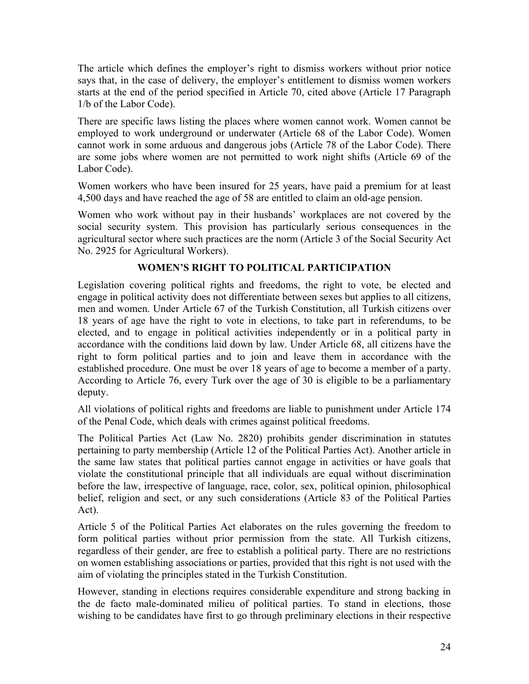The article which defines the employer's right to dismiss workers without prior notice says that, in the case of delivery, the employer's entitlement to dismiss women workers starts at the end of the period specified in Article 70, cited above (Article 17 Paragraph 1/b of the Labor Code).

There are specific laws listing the places where women cannot work. Women cannot be employed to work underground or underwater (Article 68 of the Labor Code). Women cannot work in some arduous and dangerous jobs (Article 78 of the Labor Code). There are some jobs where women are not permitted to work night shifts (Article 69 of the Labor Code).

Women workers who have been insured for 25 years, have paid a premium for at least 4,500 days and have reached the age of 58 are entitled to claim an old-age pension.

Women who work without pay in their husbands' workplaces are not covered by the social security system. This provision has particularly serious consequences in the agricultural sector where such practices are the norm (Article 3 of the Social Security Act No. 2925 for Agricultural Workers).

## **WOMEN'S RIGHT TO POLITICAL PARTICIPATION**

Legislation covering political rights and freedoms, the right to vote, be elected and engage in political activity does not differentiate between sexes but applies to all citizens, men and women. Under Article 67 of the Turkish Constitution, all Turkish citizens over 18 years of age have the right to vote in elections, to take part in referendums, to be elected, and to engage in political activities independently or in a political party in accordance with the conditions laid down by law. Under Article 68, all citizens have the right to form political parties and to join and leave them in accordance with the established procedure. One must be over 18 years of age to become a member of a party. According to Article 76, every Turk over the age of 30 is eligible to be a parliamentary deputy.

All violations of political rights and freedoms are liable to punishment under Article 174 of the Penal Code, which deals with crimes against political freedoms.

The Political Parties Act (Law No. 2820) prohibits gender discrimination in statutes pertaining to party membership (Article 12 of the Political Parties Act). Another article in the same law states that political parties cannot engage in activities or have goals that violate the constitutional principle that all individuals are equal without discrimination before the law, irrespective of language, race, color, sex, political opinion, philosophical belief, religion and sect, or any such considerations (Article 83 of the Political Parties Act).

Article 5 of the Political Parties Act elaborates on the rules governing the freedom to form political parties without prior permission from the state. All Turkish citizens, regardless of their gender, are free to establish a political party. There are no restrictions on women establishing associations or parties, provided that this right is not used with the aim of violating the principles stated in the Turkish Constitution.

However, standing in elections requires considerable expenditure and strong backing in the de facto male-dominated milieu of political parties. To stand in elections, those wishing to be candidates have first to go through preliminary elections in their respective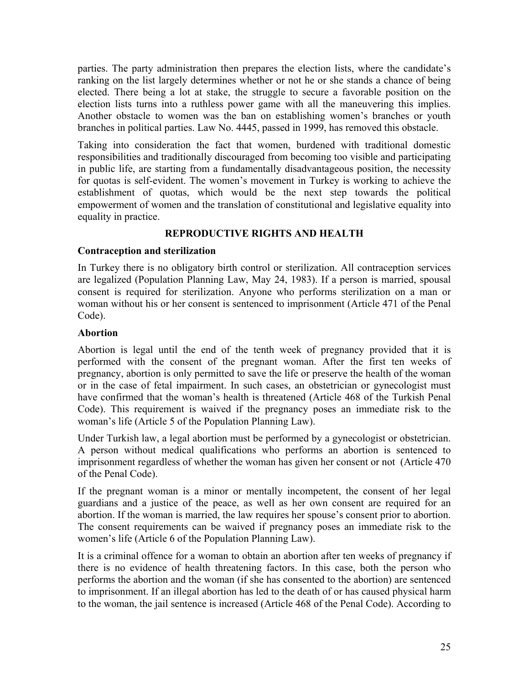parties. The party administration then prepares the election lists, where the candidate's ranking on the list largely determines whether or not he or she stands a chance of being elected. There being a lot at stake, the struggle to secure a favorable position on the election lists turns into a ruthless power game with all the maneuvering this implies. Another obstacle to women was the ban on establishing women's branches or youth branches in political parties. Law No. 4445, passed in 1999, has removed this obstacle.

Taking into consideration the fact that women, burdened with traditional domestic responsibilities and traditionally discouraged from becoming too visible and participating in public life, are starting from a fundamentally disadvantageous position, the necessity for quotas is self-evident. The women's movement in Turkey is working to achieve the establishment of quotas, which would be the next step towards the political empowerment of women and the translation of constitutional and legislative equality into equality in practice.

## **REPRODUCTIVE RIGHTS AND HEALTH**

## **Contraception and sterilization**

In Turkey there is no obligatory birth control or sterilization. All contraception services are legalized (Population Planning Law, May 24, 1983). If a person is married, spousal consent is required for sterilization. Anyone who performs sterilization on a man or woman without his or her consent is sentenced to imprisonment (Article 471 of the Penal Code).

## **Abortion**

Abortion is legal until the end of the tenth week of pregnancy provided that it is performed with the consent of the pregnant woman. After the first ten weeks of pregnancy, abortion is only permitted to save the life or preserve the health of the woman or in the case of fetal impairment. In such cases, an obstetrician or gynecologist must have confirmed that the woman's health is threatened (Article 468 of the Turkish Penal Code). This requirement is waived if the pregnancy poses an immediate risk to the woman's life (Article 5 of the Population Planning Law).

Under Turkish law, a legal abortion must be performed by a gynecologist or obstetrician. A person without medical qualifications who performs an abortion is sentenced to imprisonment regardless of whether the woman has given her consent or not (Article 470 of the Penal Code).

If the pregnant woman is a minor or mentally incompetent, the consent of her legal guardians and a justice of the peace, as well as her own consent are required for an abortion. If the woman is married, the law requires her spouse's consent prior to abortion. The consent requirements can be waived if pregnancy poses an immediate risk to the women's life (Article 6 of the Population Planning Law).

It is a criminal offence for a woman to obtain an abortion after ten weeks of pregnancy if there is no evidence of health threatening factors. In this case, both the person who performs the abortion and the woman (if she has consented to the abortion) are sentenced to imprisonment. If an illegal abortion has led to the death of or has caused physical harm to the woman, the jail sentence is increased (Article 468 of the Penal Code). According to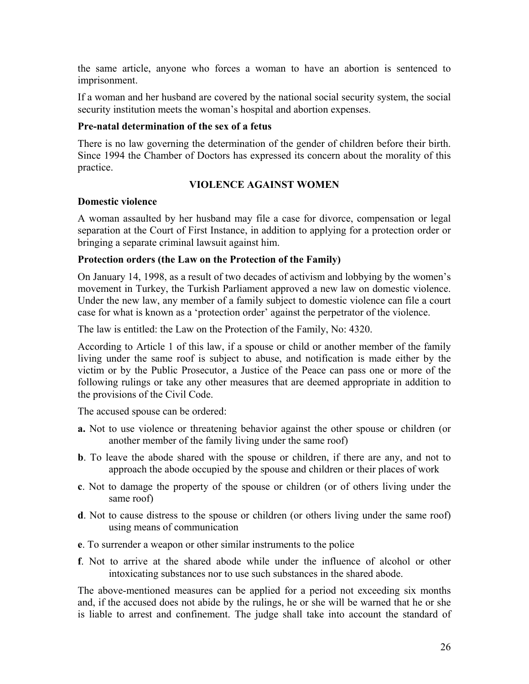the same article, anyone who forces a woman to have an abortion is sentenced to imprisonment.

If a woman and her husband are covered by the national social security system, the social security institution meets the woman's hospital and abortion expenses.

#### **Pre-natal determination of the sex of a fetus**

There is no law governing the determination of the gender of children before their birth. Since 1994 the Chamber of Doctors has expressed its concern about the morality of this practice.

#### **VIOLENCE AGAINST WOMEN**

#### **Domestic violence**

A woman assaulted by her husband may file a case for divorce, compensation or legal separation at the Court of First Instance, in addition to applying for a protection order or bringing a separate criminal lawsuit against him.

#### **Protection orders (the Law on the Protection of the Family)**

On January 14, 1998, as a result of two decades of activism and lobbying by the women's movement in Turkey, the Turkish Parliament approved a new law on domestic violence. Under the new law, any member of a family subject to domestic violence can file a court case for what is known as a 'protection order' against the perpetrator of the violence.

The law is entitled: the Law on the Protection of the Family, No: 4320.

According to Article 1 of this law, if a spouse or child or another member of the family living under the same roof is subject to abuse, and notification is made either by the victim or by the Public Prosecutor, a Justice of the Peace can pass one or more of the following rulings or take any other measures that are deemed appropriate in addition to the provisions of the Civil Code.

The accused spouse can be ordered:

- **a.** Not to use violence or threatening behavior against the other spouse or children (or another member of the family living under the same roof)
- **b**. To leave the abode shared with the spouse or children, if there are any, and not to approach the abode occupied by the spouse and children or their places of work
- **c**. Not to damage the property of the spouse or children (or of others living under the same roof)
- **d**. Not to cause distress to the spouse or children (or others living under the same roof) using means of communication
- **e**. To surrender a weapon or other similar instruments to the police
- **f**. Not to arrive at the shared abode while under the influence of alcohol or other intoxicating substances nor to use such substances in the shared abode.

The above-mentioned measures can be applied for a period not exceeding six months and, if the accused does not abide by the rulings, he or she will be warned that he or she is liable to arrest and confinement. The judge shall take into account the standard of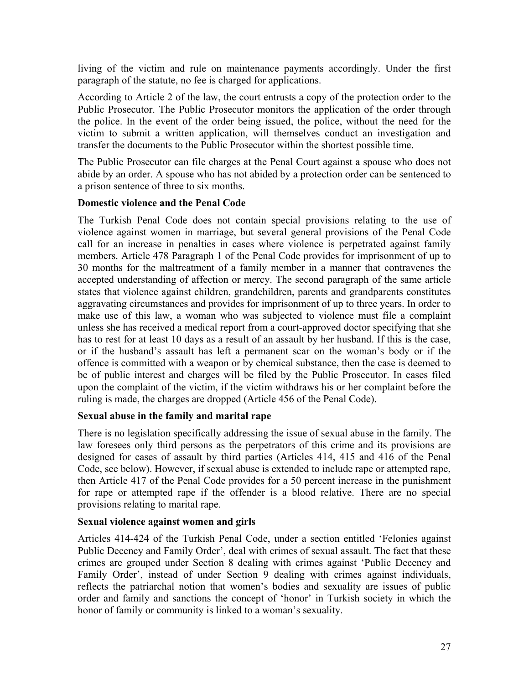living of the victim and rule on maintenance payments accordingly. Under the first paragraph of the statute, no fee is charged for applications.

According to Article 2 of the law, the court entrusts a copy of the protection order to the Public Prosecutor. The Public Prosecutor monitors the application of the order through the police. In the event of the order being issued, the police, without the need for the victim to submit a written application, will themselves conduct an investigation and transfer the documents to the Public Prosecutor within the shortest possible time.

The Public Prosecutor can file charges at the Penal Court against a spouse who does not abide by an order. A spouse who has not abided by a protection order can be sentenced to a prison sentence of three to six months.

#### **Domestic violence and the Penal Code**

The Turkish Penal Code does not contain special provisions relating to the use of violence against women in marriage, but several general provisions of the Penal Code call for an increase in penalties in cases where violence is perpetrated against family members. Article 478 Paragraph 1 of the Penal Code provides for imprisonment of up to 30 months for the maltreatment of a family member in a manner that contravenes the accepted understanding of affection or mercy. The second paragraph of the same article states that violence against children, grandchildren, parents and grandparents constitutes aggravating circumstances and provides for imprisonment of up to three years. In order to make use of this law, a woman who was subjected to violence must file a complaint unless she has received a medical report from a court-approved doctor specifying that she has to rest for at least 10 days as a result of an assault by her husband. If this is the case, or if the husband's assault has left a permanent scar on the woman's body or if the offence is committed with a weapon or by chemical substance, then the case is deemed to be of public interest and charges will be filed by the Public Prosecutor. In cases filed upon the complaint of the victim, if the victim withdraws his or her complaint before the ruling is made, the charges are dropped (Article 456 of the Penal Code).

## **Sexual abuse in the family and marital rape**

There is no legislation specifically addressing the issue of sexual abuse in the family. The law foresees only third persons as the perpetrators of this crime and its provisions are designed for cases of assault by third parties (Articles 414, 415 and 416 of the Penal Code, see below). However, if sexual abuse is extended to include rape or attempted rape, then Article 417 of the Penal Code provides for a 50 percent increase in the punishment for rape or attempted rape if the offender is a blood relative. There are no special provisions relating to marital rape.

## **Sexual violence against women and girls**

Articles 414-424 of the Turkish Penal Code, under a section entitled 'Felonies against Public Decency and Family Order', deal with crimes of sexual assault. The fact that these crimes are grouped under Section 8 dealing with crimes against 'Public Decency and Family Order', instead of under Section 9 dealing with crimes against individuals, reflects the patriarchal notion that women's bodies and sexuality are issues of public order and family and sanctions the concept of 'honor' in Turkish society in which the honor of family or community is linked to a woman's sexuality.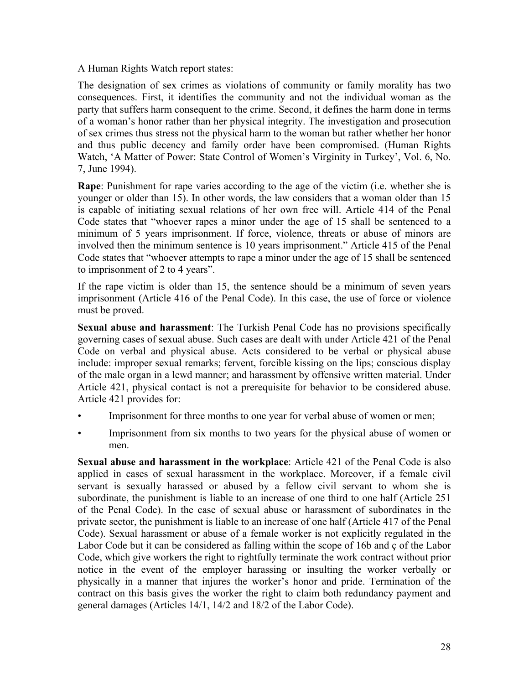A Human Rights Watch report states:

The designation of sex crimes as violations of community or family morality has two consequences. First, it identifies the community and not the individual woman as the party that suffers harm consequent to the crime. Second, it defines the harm done in terms of a woman's honor rather than her physical integrity. The investigation and prosecution of sex crimes thus stress not the physical harm to the woman but rather whether her honor and thus public decency and family order have been compromised. (Human Rights Watch, 'A Matter of Power: State Control of Women's Virginity in Turkey', Vol. 6, No. 7, June 1994).

**Rape**: Punishment for rape varies according to the age of the victim (i.e. whether she is younger or older than 15). In other words, the law considers that a woman older than 15 is capable of initiating sexual relations of her own free will. Article 414 of the Penal Code states that "whoever rapes a minor under the age of 15 shall be sentenced to a minimum of 5 years imprisonment. If force, violence, threats or abuse of minors are involved then the minimum sentence is 10 years imprisonment." Article 415 of the Penal Code states that "whoever attempts to rape a minor under the age of 15 shall be sentenced to imprisonment of 2 to 4 years".

If the rape victim is older than 15, the sentence should be a minimum of seven years imprisonment (Article 416 of the Penal Code). In this case, the use of force or violence must be proved.

**Sexual abuse and harassment**: The Turkish Penal Code has no provisions specifically governing cases of sexual abuse. Such cases are dealt with under Article 421 of the Penal Code on verbal and physical abuse. Acts considered to be verbal or physical abuse include: improper sexual remarks; fervent, forcible kissing on the lips; conscious display of the male organ in a lewd manner; and harassment by offensive written material. Under Article 421, physical contact is not a prerequisite for behavior to be considered abuse. Article 421 provides for:

- Imprisonment for three months to one year for verbal abuse of women or men;
- Imprisonment from six months to two years for the physical abuse of women or men.

**Sexual abuse and harassment in the workplace**: Article 421 of the Penal Code is also applied in cases of sexual harassment in the workplace. Moreover, if a female civil servant is sexually harassed or abused by a fellow civil servant to whom she is subordinate, the punishment is liable to an increase of one third to one half (Article 251 of the Penal Code). In the case of sexual abuse or harassment of subordinates in the private sector, the punishment is liable to an increase of one half (Article 417 of the Penal Code). Sexual harassment or abuse of a female worker is not explicitly regulated in the Labor Code but it can be considered as falling within the scope of 16b and ç of the Labor Code, which give workers the right to rightfully terminate the work contract without prior notice in the event of the employer harassing or insulting the worker verbally or physically in a manner that injures the worker's honor and pride. Termination of the contract on this basis gives the worker the right to claim both redundancy payment and general damages (Articles 14/1, 14/2 and 18/2 of the Labor Code).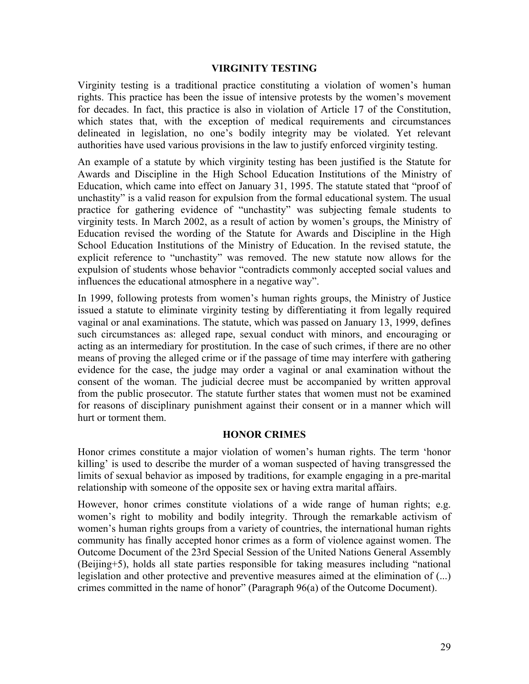## **VIRGINITY TESTING**

Virginity testing is a traditional practice constituting a violation of women's human rights. This practice has been the issue of intensive protests by the women's movement for decades. In fact, this practice is also in violation of Article 17 of the Constitution, which states that, with the exception of medical requirements and circumstances delineated in legislation, no one's bodily integrity may be violated. Yet relevant authorities have used various provisions in the law to justify enforced virginity testing.

An example of a statute by which virginity testing has been justified is the Statute for Awards and Discipline in the High School Education Institutions of the Ministry of Education, which came into effect on January 31, 1995. The statute stated that "proof of unchastity" is a valid reason for expulsion from the formal educational system. The usual practice for gathering evidence of "unchastity" was subjecting female students to virginity tests. In March 2002, as a result of action by women's groups, the Ministry of Education revised the wording of the Statute for Awards and Discipline in the High School Education Institutions of the Ministry of Education. In the revised statute, the explicit reference to "unchastity" was removed. The new statute now allows for the expulsion of students whose behavior "contradicts commonly accepted social values and influences the educational atmosphere in a negative way".

In 1999, following protests from women's human rights groups, the Ministry of Justice issued a statute to eliminate virginity testing by differentiating it from legally required vaginal or anal examinations. The statute, which was passed on January 13, 1999, defines such circumstances as: alleged rape, sexual conduct with minors, and encouraging or acting as an intermediary for prostitution. In the case of such crimes, if there are no other means of proving the alleged crime or if the passage of time may interfere with gathering evidence for the case, the judge may order a vaginal or anal examination without the consent of the woman. The judicial decree must be accompanied by written approval from the public prosecutor. The statute further states that women must not be examined for reasons of disciplinary punishment against their consent or in a manner which will hurt or torment them.

#### **HONOR CRIMES**

Honor crimes constitute a major violation of women's human rights. The term 'honor killing' is used to describe the murder of a woman suspected of having transgressed the limits of sexual behavior as imposed by traditions, for example engaging in a pre-marital relationship with someone of the opposite sex or having extra marital affairs.

However, honor crimes constitute violations of a wide range of human rights; e.g. women's right to mobility and bodily integrity. Through the remarkable activism of women's human rights groups from a variety of countries, the international human rights community has finally accepted honor crimes as a form of violence against women. The Outcome Document of the 23rd Special Session of the United Nations General Assembly (Beijing+5), holds all state parties responsible for taking measures including "national legislation and other protective and preventive measures aimed at the elimination of (...) crimes committed in the name of honor" (Paragraph 96(a) of the Outcome Document).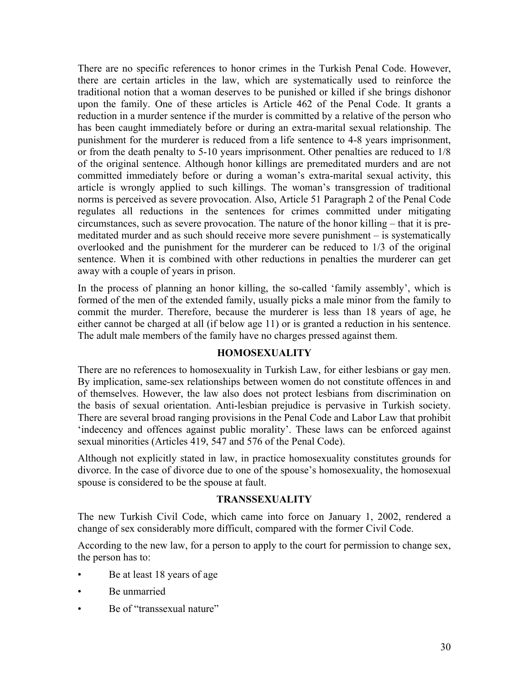There are no specific references to honor crimes in the Turkish Penal Code. However, there are certain articles in the law, which are systematically used to reinforce the traditional notion that a woman deserves to be punished or killed if she brings dishonor upon the family. One of these articles is Article 462 of the Penal Code. It grants a reduction in a murder sentence if the murder is committed by a relative of the person who has been caught immediately before or during an extra-marital sexual relationship. The punishment for the murderer is reduced from a life sentence to 4-8 years imprisonment, or from the death penalty to 5-10 years imprisonment. Other penalties are reduced to 1/8 of the original sentence. Although honor killings are premeditated murders and are not committed immediately before or during a woman's extra-marital sexual activity, this article is wrongly applied to such killings. The woman's transgression of traditional norms is perceived as severe provocation. Also, Article 51 Paragraph 2 of the Penal Code regulates all reductions in the sentences for crimes committed under mitigating circumstances, such as severe provocation. The nature of the honor killing – that it is premeditated murder and as such should receive more severe punishment – is systematically overlooked and the punishment for the murderer can be reduced to 1/3 of the original sentence. When it is combined with other reductions in penalties the murderer can get away with a couple of years in prison.

In the process of planning an honor killing, the so-called 'family assembly', which is formed of the men of the extended family, usually picks a male minor from the family to commit the murder. Therefore, because the murderer is less than 18 years of age, he either cannot be charged at all (if below age 11) or is granted a reduction in his sentence. The adult male members of the family have no charges pressed against them.

#### **HOMOSEXUALITY**

There are no references to homosexuality in Turkish Law, for either lesbians or gay men. By implication, same-sex relationships between women do not constitute offences in and of themselves. However, the law also does not protect lesbians from discrimination on the basis of sexual orientation. Anti-lesbian prejudice is pervasive in Turkish society. There are several broad ranging provisions in the Penal Code and Labor Law that prohibit 'indecency and offences against public morality'. These laws can be enforced against sexual minorities (Articles 419, 547 and 576 of the Penal Code).

Although not explicitly stated in law, in practice homosexuality constitutes grounds for divorce. In the case of divorce due to one of the spouse's homosexuality, the homosexual spouse is considered to be the spouse at fault.

#### **TRANSSEXUALITY**

The new Turkish Civil Code, which came into force on January 1, 2002, rendered a change of sex considerably more difficult, compared with the former Civil Code.

According to the new law, for a person to apply to the court for permission to change sex, the person has to:

- Be at least 18 years of age
- Be unmarried
- Be of "transsexual nature"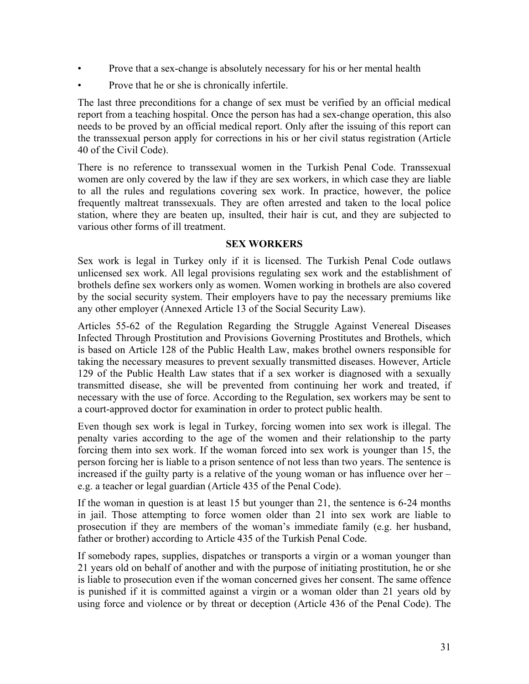- Prove that a sex-change is absolutely necessary for his or her mental health
- Prove that he or she is chronically infertile.

The last three preconditions for a change of sex must be verified by an official medical report from a teaching hospital. Once the person has had a sex-change operation, this also needs to be proved by an official medical report. Only after the issuing of this report can the transsexual person apply for corrections in his or her civil status registration (Article 40 of the Civil Code).

There is no reference to transsexual women in the Turkish Penal Code. Transsexual women are only covered by the law if they are sex workers, in which case they are liable to all the rules and regulations covering sex work. In practice, however, the police frequently maltreat transsexuals. They are often arrested and taken to the local police station, where they are beaten up, insulted, their hair is cut, and they are subjected to various other forms of ill treatment.

#### **SEX WORKERS**

Sex work is legal in Turkey only if it is licensed. The Turkish Penal Code outlaws unlicensed sex work. All legal provisions regulating sex work and the establishment of brothels define sex workers only as women. Women working in brothels are also covered by the social security system. Their employers have to pay the necessary premiums like any other employer (Annexed Article 13 of the Social Security Law).

Articles 55-62 of the Regulation Regarding the Struggle Against Venereal Diseases Infected Through Prostitution and Provisions Governing Prostitutes and Brothels, which is based on Article 128 of the Public Health Law, makes brothel owners responsible for taking the necessary measures to prevent sexually transmitted diseases. However, Article 129 of the Public Health Law states that if a sex worker is diagnosed with a sexually transmitted disease, she will be prevented from continuing her work and treated, if necessary with the use of force. According to the Regulation, sex workers may be sent to a court-approved doctor for examination in order to protect public health.

Even though sex work is legal in Turkey, forcing women into sex work is illegal. The penalty varies according to the age of the women and their relationship to the party forcing them into sex work. If the woman forced into sex work is younger than 15, the person forcing her is liable to a prison sentence of not less than two years. The sentence is increased if the guilty party is a relative of the young woman or has influence over her – e.g. a teacher or legal guardian (Article 435 of the Penal Code).

If the woman in question is at least 15 but younger than 21, the sentence is 6-24 months in jail. Those attempting to force women older than 21 into sex work are liable to prosecution if they are members of the woman's immediate family (e.g. her husband, father or brother) according to Article 435 of the Turkish Penal Code.

If somebody rapes, supplies, dispatches or transports a virgin or a woman younger than 21 years old on behalf of another and with the purpose of initiating prostitution, he or she is liable to prosecution even if the woman concerned gives her consent. The same offence is punished if it is committed against a virgin or a woman older than 21 years old by using force and violence or by threat or deception (Article 436 of the Penal Code). The